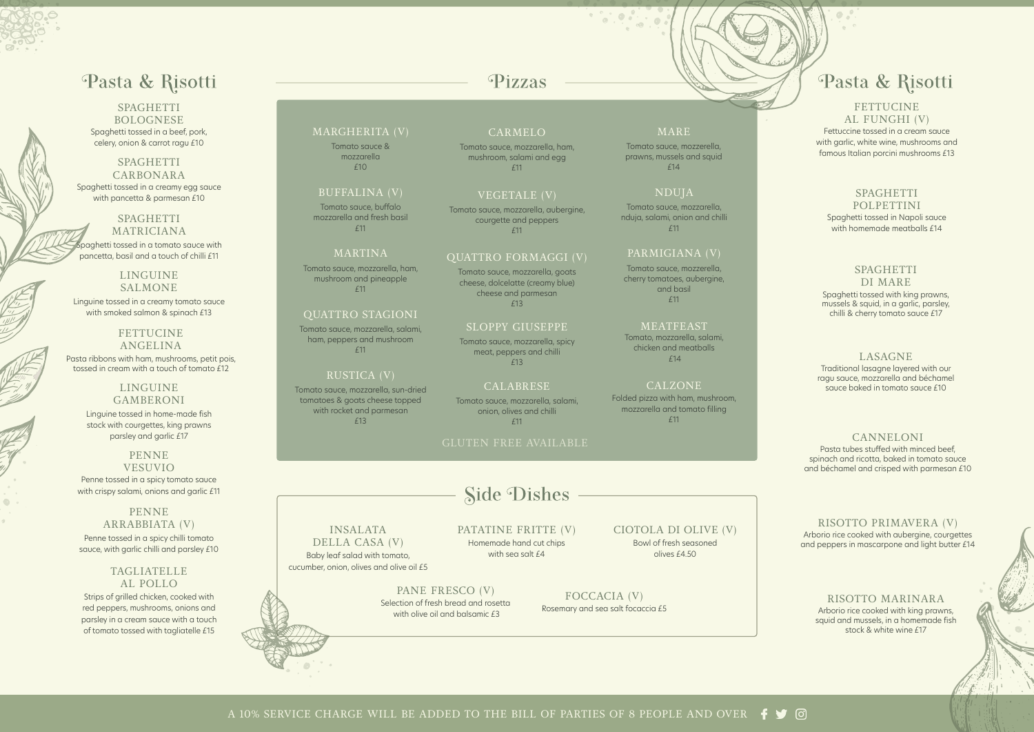#### MARGHERITA (V)

Tomato sauce & mozzarella £10

#### BUFFALINA (V)

Tomato sauce, buffalo mozzarella and fresh basil £11

#### MARTINA

Tomato sauce, mozzarella, ham, mushroom and pineapple £11

#### QUATTRO STAGIONI

Tomato sauce, mozzarella, salami, ham, peppers and mushroom £11

#### RUSTICA (V)

Tomato sauce, mozzarella, sun-dried tomatoes & goats cheese topped with rocket and parmesan £13

## Pizzas

**FETTUCINE** ANGELINA

## Pasta & Risotti

SPAGHETTI **BOLOGNESE** Spaghetti tossed in a beef, pork, celery, onion & carrot ragu £10

#### SPAGHETTI CARBONARA Spaghetti tossed in a creamy egg sauce with pancetta & parmesan £10

SPAGHETTI MATRICIANA  $\sim$ paghetti tossed in a tomato sauce with pancetta, basil and a touch of chilli £11

LINGUINE SALMONE Linguine tossed in a creamy tomato sauce

with smoked salmon & spinach £13

Pasta ribbons with ham, mushrooms, petit pois, tossed in cream with a touch of tomato £12

#### LINGUINE GAMBERONI

Linguine tossed in home-made fish stock with courgettes, king prawns parsley and garlic £17

#### PENNE VESUVIO

Penne tossed in a spicy tomato sauce with crispy salami, onions and garlic £11

#### PENNE ARRABBIATA (V)

Penne tossed in a spicy chilli tomato sauce, with garlic chilli and parsley £10

#### TAGLIATELLE AL POLLO

Strips of grilled chicken, cooked with red peppers, mushrooms, onions and parsley in a cream sauce with a touch of tomato tossed with tagliatelle £15

#### FETTUCINE AL FUNGHI (V) Fettuccine tossed in a cream sauce with garlic, white wine, mushrooms and famous Italian porcini mushrooms £13

#### SPAGHETTI

**POLPETTINI** Spaghetti tossed in Napoli sauce with homemade meatballs  $f14$ 

#### SPAGHETTI

#### DI MARE

Spaghetti tossed with king prawns, mussels & squid, in a garlic, parsley, chilli & cherry tomato sauce £17

#### LASAGNE

Traditional lasagne layered with our ragu sauce, mozzarella and béchamel sauce baked in tomato sauce £10

#### CANNELONI

Pasta tubes stuffed with minced beef, spinach and ricotta, baked in tomato sauce and béchamel and crisped with parmesan £10

#### RISOTTO PRIMAVERA (V) Arborio rice cooked with aubergine, courgettes and peppers in mascarpone and light butter £14

#### RISOTTO MARINARA Arborio rice cooked with king prawns, squid and mussels, in a homemade fish stock & white wine £17

CARMELO

Tomato sauce, mozzarella, ham, mushroom, salami and egg £11

### VEGETALE (V)

Tomato sauce, mozzarella, aubergine, courgette and peppers £11

#### QUATTRO FORMAGGI (V)

Tomato sauce, mozzarella, goats cheese, dolcelatte (creamy blue) cheese and parmesan £13

#### SLOPPY GIUSEPPE

Tomato sauce, mozzarella, spicy meat, peppers and chilli £13

#### CALABRESE

Tomato sauce, mozzarella, salami, onion, olives and chilli £11

#### MARE

Tomato sauce, mozzerella, prawns, mussels and squid £14

#### NDUJA

Tomato sauce, mozzarella, nduja, salami, onion and chilli £11

#### PARMIGIANA (V)

Tomato sauce, mozzerella, cherry tomatoes, aubergine, and basil £11

#### **MEATFEAST**

Tomato, mozzarella, salami, chicken and meatballs £14

#### CALZONE

Folded pizza with ham, mushroom, mozzarella and tomato filling £11

INSALATA DELLA CASA (V)

Baby leaf salad with tomato, cucumber, onion, olives and olive oil £5

Homemade hand cut chips PATATINE FRITTE (V) with sea salt £4

PANE FRESCO (V) Selection of fresh bread and rosetta with olive oil and balsamic £3

FOCCACIA (V) Rosemary and sea salt focaccia £5

CIOTOLA DI OLIVE (V) Bowl of fresh seasoned olives £4.50

## Pasta & Risotti

#### GLUTEN FREE AVAILABLE

## **Side Dishes**